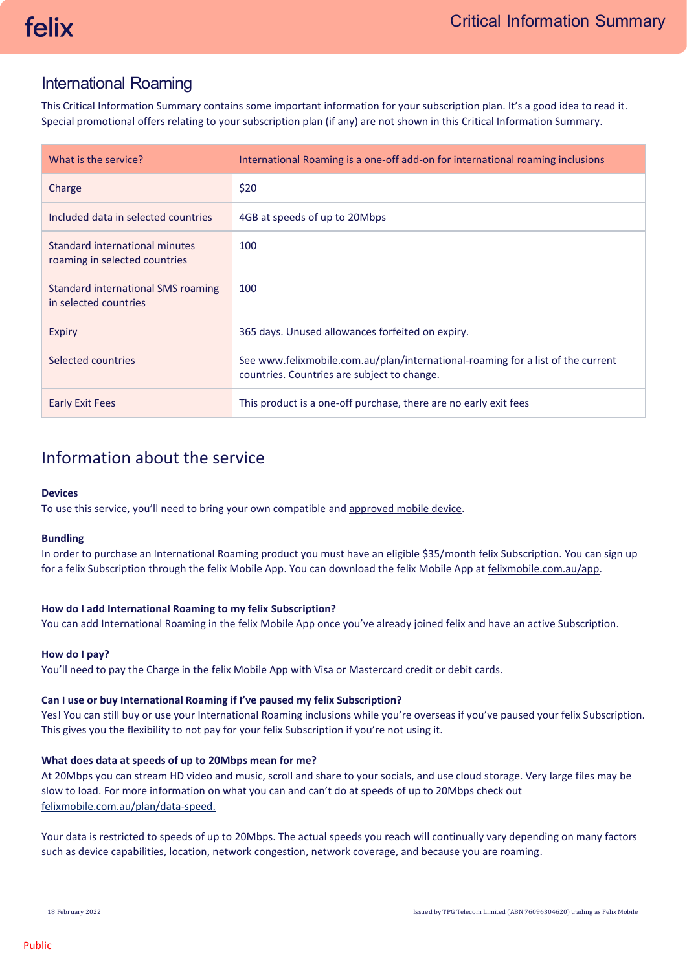# International Roaming

This Critical Information Summary contains some important information for your subscription plan. It's a good idea to read it. Special promotional offers relating to your subscription plan (if any) are not shown in this Critical Information Summary.

| What is the service?                                            | International Roaming is a one-off add-on for international roaming inclusions                                                 |
|-----------------------------------------------------------------|--------------------------------------------------------------------------------------------------------------------------------|
| Charge                                                          | \$20                                                                                                                           |
| Included data in selected countries                             | 4GB at speeds of up to 20Mbps                                                                                                  |
| Standard international minutes<br>roaming in selected countries | 100                                                                                                                            |
| Standard international SMS roaming<br>in selected countries     | 100                                                                                                                            |
| Expiry                                                          | 365 days. Unused allowances forfeited on expiry.                                                                               |
| Selected countries                                              | See www.felixmobile.com.au/plan/international-roaming for a list of the current<br>countries. Countries are subject to change. |
| <b>Early Exit Fees</b>                                          | This product is a one-off purchase, there are no early exit fees                                                               |

# Information about the service

# **Devices**

To use this service, you'll need to bring your own compatible an[d approved mobile device.](https://felixmobile.com.au/terms-policies/device-list)

# **Bundling**

In order to purchase an International Roaming product you must have an eligible \$35/month felix Subscription. You can sign up for a felix Subscription through the felix Mobile App. You can download the felix Mobile App at [felixmobile.com.au/app.](https://felixmobile.com.au/app)

# **How do I add International Roaming to my felix Subscription?**

You can add International Roaming in the felix Mobile App once you've already joined felix and have an active Subscription.

# **How do I pay?**

You'll need to pay the Charge in the felix Mobile App with Visa or Mastercard credit or debit cards.

# **Can I use or buy International Roaming if I've paused my felix Subscription?**

Yes! You can still buy or use your International Roaming inclusions while you're overseas if you've paused your felix Subscription. This gives you the flexibility to not pay for your felix Subscription if you're not using it.

# **What does data at speeds of up to 20Mbps mean for me?**

At 20Mbps you can stream HD video and music, scroll and share to your socials, and use cloud storage. Very large files may be slow to load. For more information on what you can and can't do at speeds of up to 20Mbps check out [felixmobile.com.au/plan/data-speed.](https://www.felixmobile.com.au/plan/data-speed)

Your data is restricted to speeds of up to 20Mbps. The actual speeds you reach will continually vary depending on many factors such as device capabilities, location, network congestion, network coverage, and because you are roaming.